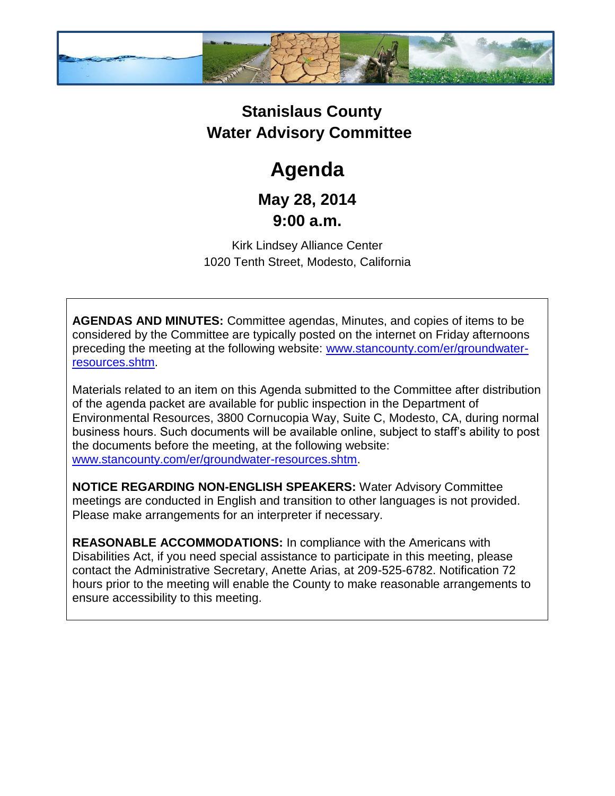

## **Stanislaus County Water Advisory Committee**

# **Agenda**

### **May 28, 2014 9:00 a.m.**

Kirk Lindsey Alliance Center 1020 Tenth Street, Modesto, California

**AGENDAS AND MINUTES:** Committee agendas, Minutes, and copies of items to be considered by the Committee are typically posted on the internet on Friday afternoons preceding the meeting at the following website: [www.stancounty.com/er/groundwater](http://www.stancounty.com/er/groundwater-resources.shtm)[resources.shtm.](http://www.stancounty.com/er/groundwater-resources.shtm)

Materials related to an item on this Agenda submitted to the Committee after distribution of the agenda packet are available for public inspection in the Department of Environmental Resources, 3800 Cornucopia Way, Suite C, Modesto, CA, during normal business hours. Such documents will be available online, subject to staff's ability to post the documents before the meeting, at the following website: [www.stancounty.com/er/groundwater-resources.shtm.](http://www.stancounty.com/er/groundwater-resources.shtm)

**NOTICE REGARDING NON-ENGLISH SPEAKERS:** Water Advisory Committee meetings are conducted in English and transition to other languages is not provided. Please make arrangements for an interpreter if necessary.

**REASONABLE ACCOMMODATIONS:** In compliance with the Americans with Disabilities Act, if you need special assistance to participate in this meeting, please contact the Administrative Secretary, Anette Arias, at 209-525-6782. Notification 72 hours prior to the meeting will enable the County to make reasonable arrangements to ensure accessibility to this meeting.